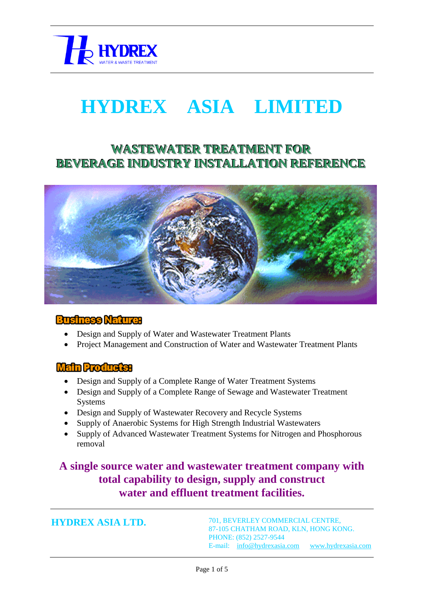

# **HYDREX ASIA LIMITED**

# **WASTEWATER TREATMENT FOR BEVERAGE INDUSTRY INSTALLATION REFERENCE**



#### **Business Nature:**

- Design and Supply of Water and Wastewater Treatment Plants
- Project Management and Construction of Water and Wastewater Treatment Plants

#### **Main Products:**

- Design and Supply of a Complete Range of Water Treatment Systems
- Design and Supply of a Complete Range of Sewage and Wastewater Treatment Systems
- Design and Supply of Wastewater Recovery and Recycle Systems
- Supply of Anaerobic Systems for High Strength Industrial Wastewaters
- Supply of Advanced Wastewater Treatment Systems for Nitrogen and Phosphorous removal

# **A single source water and wastewater treatment company with total capability to design, supply and construct water and effluent treatment facilities.**

**HYDREX ASIA LTD.**

701, BEVERLEY COMMERCIAL CENTRE, 87-105 CHATHAM ROAD, KLN, HONG KONG. PHONE: (852) 2527-9544 E-mail: [info@hydrexasia.com](mailto:info@hydrexasia.com) [www.hydrexasia.com](http://www.hydrexasia.com/)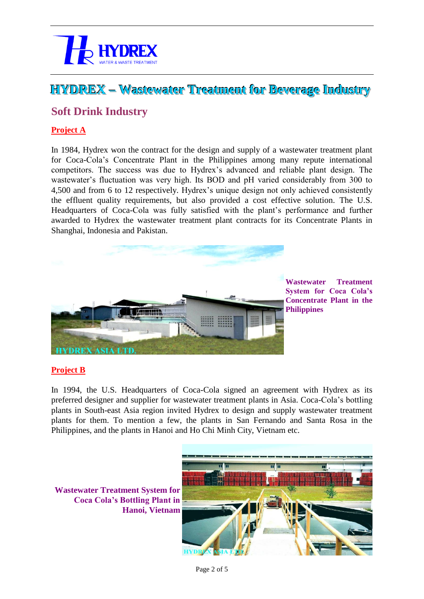

# **HYDREX –– Wastewater Treatment for Beverage Industry**

### **Soft Drink Industry**

#### **Project A**

In 1984, Hydrex won the contract for the design and supply of a wastewater treatment plant for Coca-Cola's Concentrate Plant in the Philippines among many repute international competitors. The success was due to Hydrex's advanced and reliable plant design. The wastewater's fluctuation was very high. Its BOD and pH varied considerably from 300 to 4,500 and from 6 to 12 respectively. Hydrex's unique design not only achieved consistently the effluent quality requirements, but also provided a cost effective solution. The U.S. Headquarters of Coca-Cola was fully satisfied with the plant's performance and further awarded to Hydrex the wastewater treatment plant contracts for its Concentrate Plants in Shanghai, Indonesia and Pakistan.



**Wastewater Treatment System for Coca Cola's Concentrate Plant in the Philippines**

#### **Project B**

In 1994, the U.S. Headquarters of Coca-Cola signed an agreement with Hydrex as its preferred designer and supplier for wastewater treatment plants in Asia. Coca-Cola's bottling plants in South-east Asia region invited Hydrex to design and supply wastewater treatment plants for them. To mention a few, the plants in San Fernando and Santa Rosa in the Philippines, and the plants in Hanoi and Ho Chi Minh City, Vietnam etc.



**Wastewater Treatment System for Coca Cola's Bottling Plant in Hanoi, Vietnam**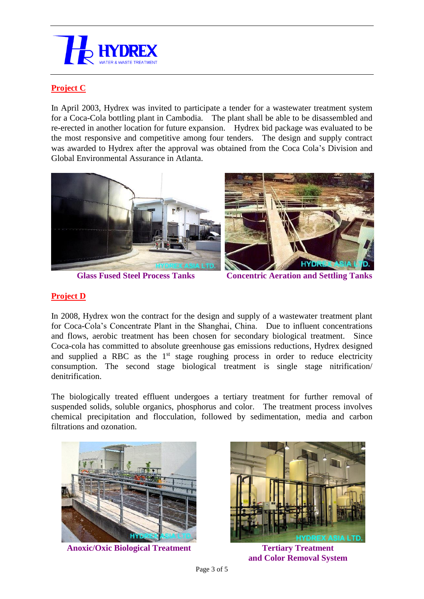

#### **Project C**

In April 2003, Hydrex was invited to participate a tender for a wastewater treatment system for a Coca-Cola bottling plant in Cambodia. The plant shall be able to be disassembled and re-erected in another location for future expansion. Hydrex bid package was evaluated to be the most responsive and competitive among four tenders. The design and supply contract was awarded to Hydrex after the approval was obtained from the Coca Cola's Division and Global Environmental Assurance in Atlanta.





**Glass Fused Steel Process Tanks Concentric Aeration and Settling Tanks**

#### **Project D**

In 2008, Hydrex won the contract for the design and supply of a wastewater treatment plant for Coca-Cola's Concentrate Plant in the Shanghai, China. Due to influent concentrations and flows, aerobic treatment has been chosen for secondary biological treatment. Since Coca-cola has committed to absolute greenhouse gas emissions reductions, Hydrex designed and supplied a RBC as the  $1<sup>st</sup>$  stage roughing process in order to reduce electricity consumption. The second stage biological treatment is single stage nitrification/ denitrification.

The biologically treated effluent undergoes a tertiary treatment for further removal of suspended solids, soluble organics, phosphorus and color. The treatment process involves chemical precipitation and flocculation, followed by sedimentation, media and carbon filtrations and ozonation.



**Anoxic/Oxic Biological Treatment Tertiary Treatment** 



**and Color Removal System**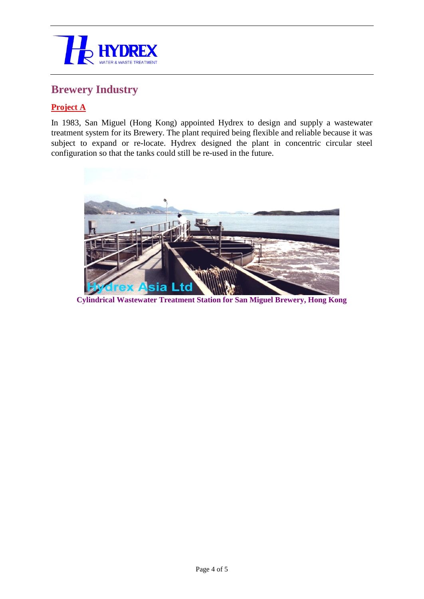

## **Brewery Industry**

#### **Project A**

In 1983, San Miguel (Hong Kong) appointed Hydrex to design and supply a wastewater treatment system for its Brewery. The plant required being flexible and reliable because it was subject to expand or re-locate. Hydrex designed the plant in concentric circular steel configuration so that the tanks could still be re-used in the future.



**Cylindrical Wastewater Treatment Station for San Miguel Brewery, Hong Kong**